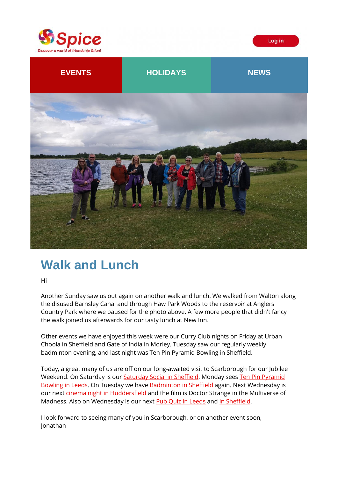





# **Walk and Lunch**

Hi

Another Sunday saw us out again on another walk and lunch. We walked from Walton along the disused Barnsley Canal and through Haw Park Woods to the reservoir at Anglers Country Park where we paused for the photo above. A few more people that didn't fancy the walk joined us afterwards for our tasty lunch at New Inn.

Other events we have enjoyed this week were our Curry Club nights on Friday at Urban Choola in Sheffield and Gate of India in Morley. Tuesday saw our regularly weekly badminton evening, and last night was Ten Pin Pyramid Bowling in Sheffield.

Today, a great many of us are off on our long-awaited visit to Scarborough for our Jubilee Weekend. On Saturday is our [Saturday Social in Sheffield.](https://spiceuk.lt.acemlna.com/Prod/link-tracker?redirectUrl=aHR0cHMlM0ElMkYlMkZ3d3cuc3BpY2V1ay5jb20lMkZldmVudHMtaG9saWRheXMlMkZzYXR1cmRheS1zb2NpYWwtaW4tc2hlZmZpZWxkLTA0LWp1bi0yMg==&sig=AMsF5sdUzzR2Qp3Ypy6Cdt9v3QZBbKdSq4RunBP3h4zw&iat=1654161682&a=%7C%7C650344965%7C%7C&account=spiceuk%2Eactivehosted%2Ecom&email=1lNuJE%2BrfgC%2F8jRYTdcwIV8mo4ad0FCroTtAVDq%2FbzQ%3D&s=b900027c55ea3ffe9431fd4817f89468&i=358A369A4A9411) Monday sees [Ten Pin Pyramid](https://spiceuk.lt.acemlna.com/Prod/link-tracker?redirectUrl=aHR0cHMlM0ElMkYlMkZ3d3cuc3BpY2V1ay5jb20lMkZldmVudHMtaG9saWRheXMlMkZ0ZW4tcGluLXB5cmFtaWQtYm93bGluZy1sZWVkcy0wNi1qdW4tMjI=&sig=2tMuKPx3WTNwL3qbJy78N2NBAmcYqJ4CZcpDKUGpFXLw&iat=1654161682&a=%7C%7C650344965%7C%7C&account=spiceuk%2Eactivehosted%2Ecom&email=1lNuJE%2BrfgC%2F8jRYTdcwIV8mo4ad0FCroTtAVDq%2FbzQ%3D&s=b900027c55ea3ffe9431fd4817f89468&i=358A369A4A9434)  [Bowling in Leeds.](https://spiceuk.lt.acemlna.com/Prod/link-tracker?redirectUrl=aHR0cHMlM0ElMkYlMkZ3d3cuc3BpY2V1ay5jb20lMkZldmVudHMtaG9saWRheXMlMkZ0ZW4tcGluLXB5cmFtaWQtYm93bGluZy1sZWVkcy0wNi1qdW4tMjI=&sig=2tMuKPx3WTNwL3qbJy78N2NBAmcYqJ4CZcpDKUGpFXLw&iat=1654161682&a=%7C%7C650344965%7C%7C&account=spiceuk%2Eactivehosted%2Ecom&email=1lNuJE%2BrfgC%2F8jRYTdcwIV8mo4ad0FCroTtAVDq%2FbzQ%3D&s=b900027c55ea3ffe9431fd4817f89468&i=358A369A4A9434) On Tuesday we hav[e Badminton in Sheffield](https://spiceuk.lt.acemlna.com/Prod/link-tracker?redirectUrl=aHR0cHMlM0ElMkYlMkZ3d3cuc3BpY2V1ay5jb20lMkZldmVudHMtaG9saWRheXMlMkZiYWRtaW50b24taW4tc2hlZmZpZWxkLTA3LWp1bi0yMg==&sig=6xPCxToe2KcmKtYkeZ7PkskFtriRuUzE7RRxkBu21HY9&iat=1654161682&a=%7C%7C650344965%7C%7C&account=spiceuk%2Eactivehosted%2Ecom&email=1lNuJE%2BrfgC%2F8jRYTdcwIV8mo4ad0FCroTtAVDq%2FbzQ%3D&s=b900027c55ea3ffe9431fd4817f89468&i=358A369A4A9435) again. Next Wednesday is our next [cinema night in Huddersfield](https://spiceuk.lt.acemlna.com/Prod/link-tracker?redirectUrl=aHR0cHMlM0ElMkYlMkZ3d3cuc3BpY2V1ay5jb20lMkZldmVudHMtaG9saWRheXMlMkZjaW5lbWEtbmlnaHQtYXQtaHVkZGVyc2ZpZWxkLW9kZW9uLTA4LWp1bi0yMg==&sig=DDW9hqEh3uD4ixTZinpjHRQ83KEqNJL5JjVKbwGnCPw1&iat=1654161682&a=%7C%7C650344965%7C%7C&account=spiceuk%2Eactivehosted%2Ecom&email=1lNuJE%2BrfgC%2F8jRYTdcwIV8mo4ad0FCroTtAVDq%2FbzQ%3D&s=b900027c55ea3ffe9431fd4817f89468&i=358A369A4A9436) and the film is Doctor Strange in the Multiverse of Madness. Also on Wednesday is our next **Pub Quiz in Leeds and [in Sheffield.](https://spiceuk.lt.acemlna.com/Prod/link-tracker?redirectUrl=aHR0cHMlM0ElMkYlMkZ3d3cuc3BpY2V1ay5jb20lMkZldmVudHMtaG9saWRheXMlMkZwdWItcXVpei1pbi1zaGVmZmllbGQtMDgtanVuLTIy&sig=3Qb753abBw7f8rJGmm8KwXY9ijjHYDb69kePu7gEFqpt&iat=1654161682&a=%7C%7C650344965%7C%7C&account=spiceuk%2Eactivehosted%2Ecom&email=1lNuJE%2BrfgC%2F8jRYTdcwIV8mo4ad0FCroTtAVDq%2FbzQ%3D&s=b900027c55ea3ffe9431fd4817f89468&i=358A369A4A9438)** 

I look forward to seeing many of you in Scarborough, or on another event soon, Jonathan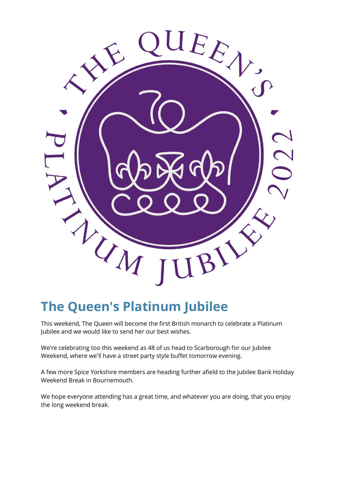

# **The Queen's Platinum Jubilee**

This weekend, The Queen will become the first British monarch to celebrate a Platinum Jubilee and we would like to send her our best wishes.

We're celebrating too this weekend as 48 of us head to Scarborough for our Jubilee Weekend, where we'll have a street party style buffet tomorrow evening.

A few more Spice Yorkshire members are heading further afield to the Jubilee Bank Holiday Weekend Break in Bournemouth.

We hope everyone attending has a great time, and whatever you are doing, that you enjoy the long weekend break.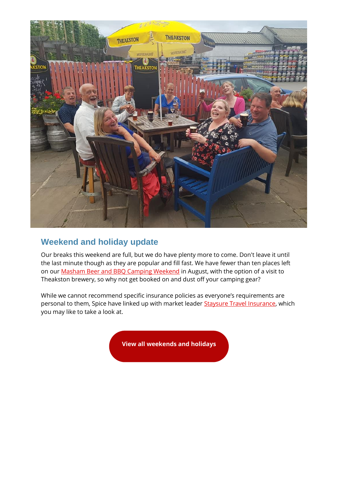

# **Weekend and holiday update**

Our breaks this weekend are full, but we do have plenty more to come. Don't leave it until the last minute though as they are popular and fill fast. We have fewer than ten places left on ou[r Masham Beer and BBQ Camping Weekend](https://spiceuk.lt.acemlna.com/Prod/link-tracker?redirectUrl=aHR0cHMlM0ElMkYlMkZ3d3cuc3BpY2V1ay5jb20lMkZldmVudHMtaG9saWRheXMlMkZtYXNoYW0tYmVlci1hbmQtYmJxLWNhbXBpbmctd2Vla2VuZC0xOS1hdWctMjI=&sig=DZZSpMZsEkJaYCYF3463PmpBik7cKuYCarhXHfqmwUxR&iat=1654161682&a=%7C%7C650344965%7C%7C&account=spiceuk%2Eactivehosted%2Ecom&email=1lNuJE%2BrfgC%2F8jRYTdcwIV8mo4ad0FCroTtAVDq%2FbzQ%3D&s=b900027c55ea3ffe9431fd4817f89468&i=358A369A4A9439) in August, with the option of a visit to Theakston brewery, so why not get booked on and dust off your camping gear?

While we cannot recommend specific insurance policies as everyone's requirements are personal to them, Spice have linked up with market leader [Staysure Travel Insurance,](https://spiceuk.lt.acemlna.com/Prod/link-tracker?redirectUrl=aHR0cHMlM0ElMkYlMkZwcmYuaG4lMkZjbGljayUyRmNhbXJlZiUzQTExMDFsa1FzTg==&sig=94nsQdWcTYFE91zWcjTn8ghax1wSa9hEdEC9b5AB7uGQ&iat=1654161682&a=%7C%7C650344965%7C%7C&account=spiceuk%2Eactivehosted%2Ecom&email=1lNuJE%2BrfgC%2F8jRYTdcwIV8mo4ad0FCroTtAVDq%2FbzQ%3D&s=b900027c55ea3ffe9431fd4817f89468&i=358A369A4A9409) which you may like to take a look at.

**[View all weekends and holidays](https://spiceuk.lt.acemlna.com/Prod/link-tracker?redirectUrl=aHR0cHMlM0ElMkYlMkZ3d3cuc3BpY2V1ay5jb20lMkZldmVudHMtaG9saWRheXMlM0Zvd25lciUzREFsbCUyNm1hc3RlckNhdGVnb3J5JTNESG9saWRheXMlMjZtYXN0ZXJDYXRlZ29yeSUzRFdlZWtlbmRzJTI1MjBBd2F5&sig=DYX3U8gGYH6Be1CxY3kaQsZMtdM5QDihBSjyiAnio81H&iat=1654161682&a=%7C%7C650344965%7C%7C&account=spiceuk%2Eactivehosted%2Ecom&email=1lNuJE%2BrfgC%2F8jRYTdcwIV8mo4ad0FCroTtAVDq%2FbzQ%3D&s=b900027c55ea3ffe9431fd4817f89468&i=358A369A4A9406)**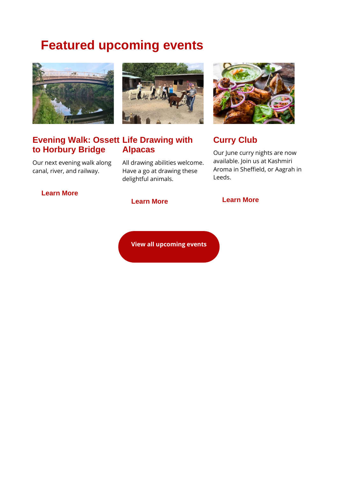# **Featured upcoming events**





Our next evening walk along canal, river, and railway.

## **[Learn More](https://spiceuk.lt.acemlna.com/Prod/link-tracker?redirectUrl=aHR0cHMlM0ElMkYlMkZ3d3cuc3BpY2V1ay5jb20lMkZldmVudHMtaG9saWRheXMlMkZldmVuaW5nLXdhbGstb3NzZXR0LXRvLWhvcmJ1cnktYnJpZGdl&sig=E7abqL4aLxMd2gAgcLWMWkyqRfCm9BgRQ5UTMxYhkYKf&iat=1654161682&a=%7C%7C650344965%7C%7C&account=spiceuk%2Eactivehosted%2Ecom&email=1lNuJE%2BrfgC%2F8jRYTdcwIV8mo4ad0FCroTtAVDq%2FbzQ%3D&s=b900027c55ea3ffe9431fd4817f89468&i=358A369A4A9396)**

All drawing abilities welcome. Have a go at drawing these delightful animals.



# **Curry Club**

Our June curry nights are now available. Join us at Kashmiri Aroma in Sheffield, or Aagrah in Leeds.

**[View all upcoming events](https://spiceuk.lt.acemlna.com/Prod/link-tracker?redirectUrl=aHR0cHMlM0ElMkYlMkZ3d3cuc3BpY2V1ay5jb20lMkZldmVudHMtaG9saWRheXMlM0ZtYXN0ZXJDYXRlZ29yeSUzREFsbCUyNmNhdGVnb3J5JTNEQWxsJTI2b3duZXIlM0RBbGw=&sig=FasCWFYLRRSBWe8UHXJ6CgXKduF3Z5ADF7Ti5xzs33wu&iat=1654161682&a=%7C%7C650344965%7C%7C&account=spiceuk%2Eactivehosted%2Ecom&email=1lNuJE%2BrfgC%2F8jRYTdcwIV8mo4ad0FCroTtAVDq%2FbzQ%3D&s=b900027c55ea3ffe9431fd4817f89468&i=358A369A4A9388)**

#### **[Learn More](https://spiceuk.lt.acemlna.com/Prod/link-tracker?redirectUrl=aHR0cHMlM0ElMkYlMkZ3d3cuc3BpY2V1ay5jb20lMkZldmVudHMtaG9saWRheXMlMkZsaWZlLWRyYXdpbmctd2l0aC1hbHBhY2Fz&sig=6AZtavhH8FNT4FmuHFdsyJ3aiHmxzn44WwPePmLnZCm4&iat=1654161682&a=%7C%7C650344965%7C%7C&account=spiceuk%2Eactivehosted%2Ecom&email=1lNuJE%2BrfgC%2F8jRYTdcwIV8mo4ad0FCroTtAVDq%2FbzQ%3D&s=b900027c55ea3ffe9431fd4817f89468&i=358A369A4A9440) [Learn More](https://spiceuk.lt.acemlna.com/Prod/link-tracker?redirectUrl=aHR0cHMlM0ElMkYlMkZ3d3cuc3BpY2V1ay5jb20lMkZldmVudHMtaG9saWRheXMlM0Zvd25lciUzRFNwaWNlJTI1MjBZb3Jrc2hpcmUlMjZzZWFyY2glM0RjdXJyeQ==&sig=EF7Wf6EBCCg7BmWRBczW2oV482nXMTfKcGxMgVRQwty8&iat=1654161682&a=%7C%7C650344965%7C%7C&account=spiceuk%2Eactivehosted%2Ecom&email=1lNuJE%2BrfgC%2F8jRYTdcwIV8mo4ad0FCroTtAVDq%2FbzQ%3D&s=b900027c55ea3ffe9431fd4817f89468&i=358A369A4A9390)**